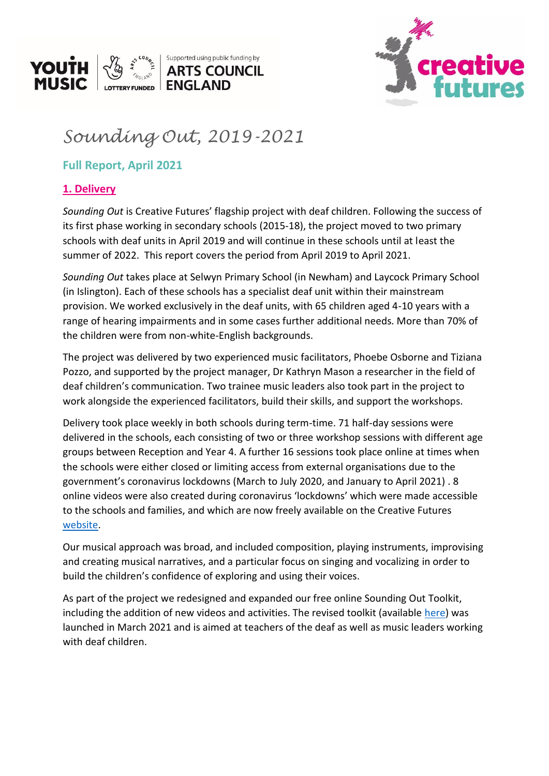



# *Sounding Out, 2019-2021*

## **Full Report, April 2021**

## **1. Delivery**

*Sounding Out* is Creative Futures' flagship project with deaf children. Following the success of its first phase working in secondary schools (2015-18), the project moved to two primary schools with deaf units in April 2019 and will continue in these schools until at least the summer of 2022. This report covers the period from April 2019 to April 2021.

*Sounding Out* takes place at Selwyn Primary School (in Newham) and Laycock Primary School (in Islington). Each of these schools has a specialist deaf unit within their mainstream provision. We worked exclusively in the deaf units, with 65 children aged 4-10 years with a range of hearing impairments and in some cases further additional needs. More than 70% of the children were from non-white-English backgrounds.

The project was delivered by two experienced music facilitators, Phoebe Osborne and Tiziana Pozzo, and supported by the project manager, Dr Kathryn Mason a researcher in the field of deaf children's communication. Two trainee music leaders also took part in the project to work alongside the experienced facilitators, build their skills, and support the workshops.

Delivery took place weekly in both schools during term-time. 71 half-day sessions were delivered in the schools, each consisting of two or three workshop sessions with different age groups between Reception and Year 4. A further 16 sessions took place online at times when the schools were either closed or limiting access from external organisations due to the government's coronavirus lockdowns (March to July 2020, and January to April 2021) . 8 online videos were also created during coronavirus 'lockdowns' which were made accessible to the schools and families, and which are now freely available on the Creative Futures [website.](https://www.creativefuturesuk.com/music-with-deaf-children)

Our musical approach was broad, and included composition, playing instruments, improvising and creating musical narratives, and a particular focus on singing and vocalizing in order to build the children's confidence of exploring and using their voices.

As part of the project we redesigned and expanded our free online Sounding Out Toolkit, including the addition of new videos and activities. The revised toolkit (available [here\)](https://www.creativefuturesuk.com/sounding-out-toolkit) was launched in March 2021 and is aimed at teachers of the deaf as well as music leaders working with deaf children.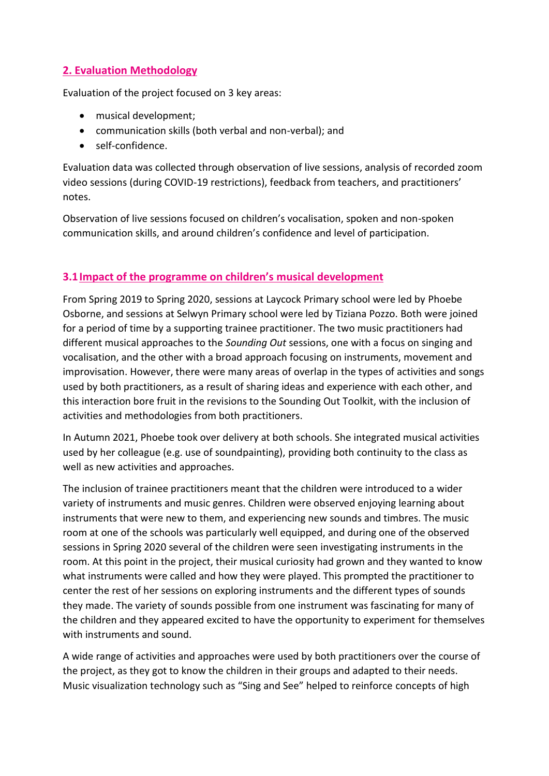## **2. Evaluation Methodology**

Evaluation of the project focused on 3 key areas:

- musical development;
- communication skills (both verbal and non-verbal); and
- self-confidence.

Evaluation data was collected through observation of live sessions, analysis of recorded zoom video sessions (during COVID-19 restrictions), feedback from teachers, and practitioners' notes.

Observation of live sessions focused on children's vocalisation, spoken and non-spoken communication skills, and around children's confidence and level of participation.

## **3.1Impact of the programme on children's musical development**

From Spring 2019 to Spring 2020, sessions at Laycock Primary school were led by Phoebe Osborne, and sessions at Selwyn Primary school were led by Tiziana Pozzo. Both were joined for a period of time by a supporting trainee practitioner. The two music practitioners had different musical approaches to the *Sounding Out* sessions, one with a focus on singing and vocalisation, and the other with a broad approach focusing on instruments, movement and improvisation. However, there were many areas of overlap in the types of activities and songs used by both practitioners, as a result of sharing ideas and experience with each other, and this interaction bore fruit in the revisions to the Sounding Out Toolkit, with the inclusion of activities and methodologies from both practitioners.

In Autumn 2021, Phoebe took over delivery at both schools. She integrated musical activities used by her colleague (e.g. use of soundpainting), providing both continuity to the class as well as new activities and approaches.

The inclusion of trainee practitioners meant that the children were introduced to a wider variety of instruments and music genres. Children were observed enjoying learning about instruments that were new to them, and experiencing new sounds and timbres. The music room at one of the schools was particularly well equipped, and during one of the observed sessions in Spring 2020 several of the children were seen investigating instruments in the room. At this point in the project, their musical curiosity had grown and they wanted to know what instruments were called and how they were played. This prompted the practitioner to center the rest of her sessions on exploring instruments and the different types of sounds they made. The variety of sounds possible from one instrument was fascinating for many of the children and they appeared excited to have the opportunity to experiment for themselves with instruments and sound.

A wide range of activities and approaches were used by both practitioners over the course of the project, as they got to know the children in their groups and adapted to their needs. Music visualization technology such as "Sing and See" helped to reinforce concepts of high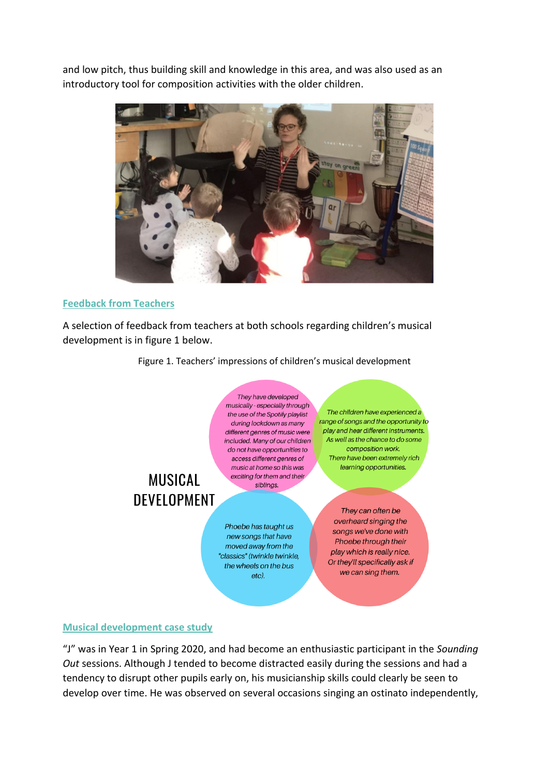and low pitch, thus building skill and knowledge in this area, and was also used as an introductory tool for composition activities with the older children.



#### **Feedback from Teachers**

A selection of feedback from teachers at both schools regarding children's musical development is in figure 1 below.

Figure 1. Teachers' impressions of children's musical development



we can sing them.

### **Musical development case study**

"J" was in Year 1 in Spring 2020, and had become an enthusiastic participant in the *Sounding Out* sessions. Although J tended to become distracted easily during the sessions and had a tendency to disrupt other pupils early on, his musicianship skills could clearly be seen to develop over time. He was observed on several occasions singing an ostinato independently,

 $etc.$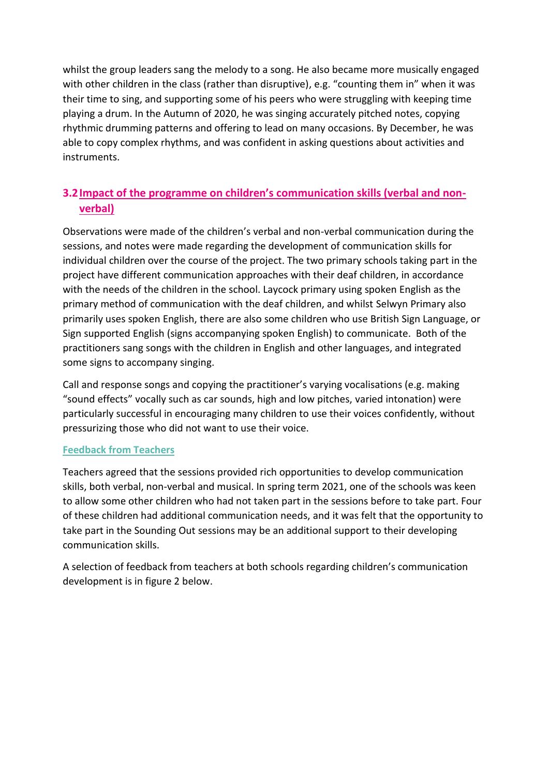whilst the group leaders sang the melody to a song. He also became more musically engaged with other children in the class (rather than disruptive), e.g. "counting them in" when it was their time to sing, and supporting some of his peers who were struggling with keeping time playing a drum. In the Autumn of 2020, he was singing accurately pitched notes, copying rhythmic drumming patterns and offering to lead on many occasions. By December, he was able to copy complex rhythms, and was confident in asking questions about activities and instruments.

## **3.2Impact of the programme on children's communication skills (verbal and nonverbal)**

Observations were made of the children's verbal and non-verbal communication during the sessions, and notes were made regarding the development of communication skills for individual children over the course of the project. The two primary schools taking part in the project have different communication approaches with their deaf children, in accordance with the needs of the children in the school. Laycock primary using spoken English as the primary method of communication with the deaf children, and whilst Selwyn Primary also primarily uses spoken English, there are also some children who use British Sign Language, or Sign supported English (signs accompanying spoken English) to communicate. Both of the practitioners sang songs with the children in English and other languages, and integrated some signs to accompany singing.

Call and response songs and copying the practitioner's varying vocalisations (e.g. making "sound effects" vocally such as car sounds, high and low pitches, varied intonation) were particularly successful in encouraging many children to use their voices confidently, without pressurizing those who did not want to use their voice.

#### **Feedback from Teachers**

Teachers agreed that the sessions provided rich opportunities to develop communication skills, both verbal, non-verbal and musical. In spring term 2021, one of the schools was keen to allow some other children who had not taken part in the sessions before to take part. Four of these children had additional communication needs, and it was felt that the opportunity to take part in the Sounding Out sessions may be an additional support to their developing communication skills.

A selection of feedback from teachers at both schools regarding children's communication development is in figure 2 below.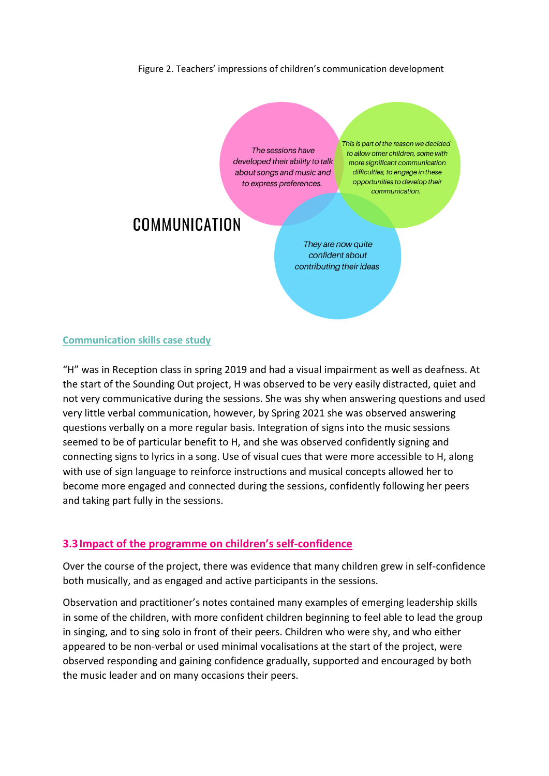#### Figure 2. Teachers' impressions of children's communication development

The sessions have developed their ability to talk about songs and music and to express preferences.

This is part of the reason we decided to allow other children, some with more significant communication difficulties, to engage in these opportunities to develop their communication.

## COMMUNICATION

They are now quite confident about contributing their ideas

#### **Communication skills case study**

"H" was in Reception class in spring 2019 and had a visual impairment as well as deafness. At the start of the Sounding Out project, H was observed to be very easily distracted, quiet and not very communicative during the sessions. She was shy when answering questions and used very little verbal communication, however, by Spring 2021 she was observed answering questions verbally on a more regular basis. Integration of signs into the music sessions seemed to be of particular benefit to H, and she was observed confidently signing and connecting signs to lyrics in a song. Use of visual cues that were more accessible to H, along with use of sign language to reinforce instructions and musical concepts allowed her to become more engaged and connected during the sessions, confidently following her peers and taking part fully in the sessions.

#### **3.3Impact of the programme on children's self-confidence**

Over the course of the project, there was evidence that many children grew in self-confidence both musically, and as engaged and active participants in the sessions.

Observation and practitioner's notes contained many examples of emerging leadership skills in some of the children, with more confident children beginning to feel able to lead the group in singing, and to sing solo in front of their peers. Children who were shy, and who either appeared to be non-verbal or used minimal vocalisations at the start of the project, were observed responding and gaining confidence gradually, supported and encouraged by both the music leader and on many occasions their peers.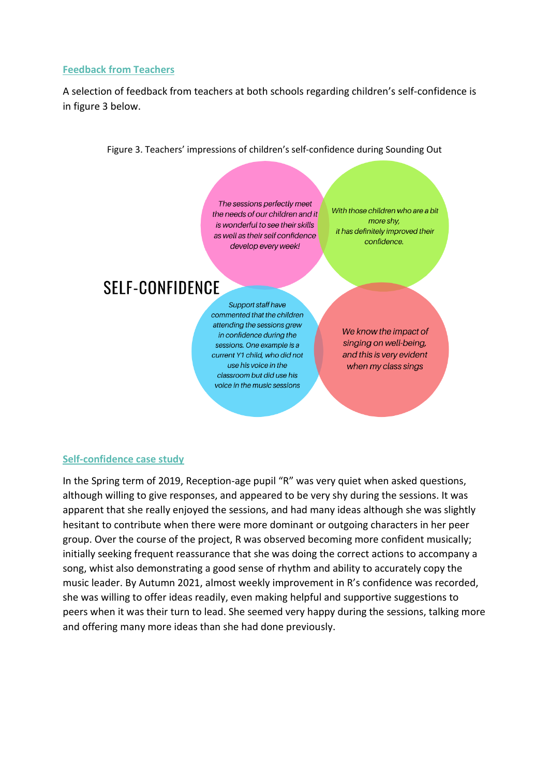#### **Feedback from Teachers**

A selection of feedback from teachers at both schools regarding children's self-confidence is in figure 3 below.

Figure 3. Teachers' impressions of children's self-confidence during Sounding Out

The sessions perfectly meet the needs of our children and it is wonderful to see their skills as well as their self confidence develop every week!

With those children who are a bit more shv. it has definitely improved their confidence.

## **SFIF-CONFIDENCE**

**Support staff have** commented that the children attending the sessions grew in confidence during the sessions. One example is a current Y1 child, who did not use his voice in the classroom but did use his voice in the music sessions

We know the impact of singing on well-being, and this is very evident when my class sings

#### **Self-confidence case study**

In the Spring term of 2019, Reception-age pupil "R" was very quiet when asked questions, although willing to give responses, and appeared to be very shy during the sessions. It was apparent that she really enjoyed the sessions, and had many ideas although she was slightly hesitant to contribute when there were more dominant or outgoing characters in her peer group. Over the course of the project, R was observed becoming more confident musically; initially seeking frequent reassurance that she was doing the correct actions to accompany a song, whist also demonstrating a good sense of rhythm and ability to accurately copy the music leader. By Autumn 2021, almost weekly improvement in R's confidence was recorded, she was willing to offer ideas readily, even making helpful and supportive suggestions to peers when it was their turn to lead. She seemed very happy during the sessions, talking more and offering many more ideas than she had done previously.